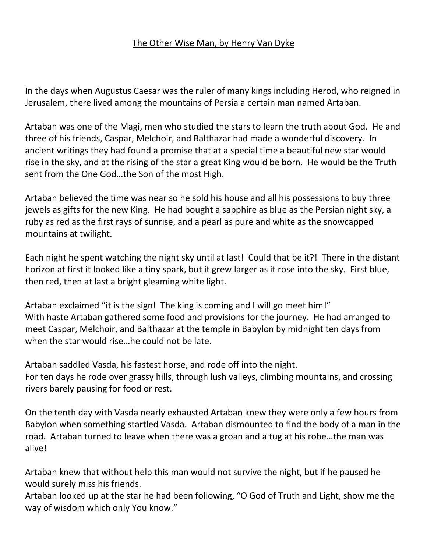## The Other Wise Man, by Henry Van Dyke

In the days when Augustus Caesar was the ruler of many kings including Herod, who reigned in Jerusalem, there lived among the mountains of Persia a certain man named Artaban.

Artaban was one of the Magi, men who studied the stars to learn the truth about God. He and three of his friends, Caspar, Melchoir, and Balthazar had made a wonderful discovery. In ancient writings they had found a promise that at a special time a beautiful new star would rise in the sky, and at the rising of the star a great King would be born. He would be the Truth sent from the One God…the Son of the most High.

Artaban believed the time was near so he sold his house and all his possessions to buy three jewels as gifts for the new King. He had bought a sapphire as blue as the Persian night sky, a ruby as red as the first rays of sunrise, and a pearl as pure and white as the snowcapped mountains at twilight.

Each night he spent watching the night sky until at last! Could that be it?! There in the distant horizon at first it looked like a tiny spark, but it grew larger as it rose into the sky. First blue, then red, then at last a bright gleaming white light.

Artaban exclaimed "it is the sign! The king is coming and I will go meet him!" With haste Artaban gathered some food and provisions for the journey. He had arranged to meet Caspar, Melchoir, and Balthazar at the temple in Babylon by midnight ten days from when the star would rise…he could not be late.

Artaban saddled Vasda, his fastest horse, and rode off into the night. For ten days he rode over grassy hills, through lush valleys, climbing mountains, and crossing rivers barely pausing for food or rest.

On the tenth day with Vasda nearly exhausted Artaban knew they were only a few hours from Babylon when something startled Vasda. Artaban dismounted to find the body of a man in the road. Artaban turned to leave when there was a groan and a tug at his robe…the man was alive!

Artaban knew that without help this man would not survive the night, but if he paused he would surely miss his friends.

Artaban looked up at the star he had been following, "O God of Truth and Light, show me the way of wisdom which only You know."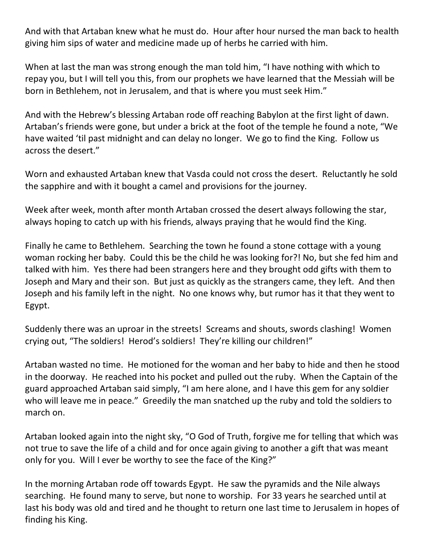And with that Artaban knew what he must do. Hour after hour nursed the man back to health giving him sips of water and medicine made up of herbs he carried with him.

When at last the man was strong enough the man told him, "I have nothing with which to repay you, but I will tell you this, from our prophets we have learned that the Messiah will be born in Bethlehem, not in Jerusalem, and that is where you must seek Him."

And with the Hebrew's blessing Artaban rode off reaching Babylon at the first light of dawn. Artaban's friends were gone, but under a brick at the foot of the temple he found a note, "We have waited 'til past midnight and can delay no longer. We go to find the King. Follow us across the desert."

Worn and exhausted Artaban knew that Vasda could not cross the desert. Reluctantly he sold the sapphire and with it bought a camel and provisions for the journey.

Week after week, month after month Artaban crossed the desert always following the star, always hoping to catch up with his friends, always praying that he would find the King.

Finally he came to Bethlehem. Searching the town he found a stone cottage with a young woman rocking her baby. Could this be the child he was looking for?! No, but she fed him and talked with him. Yes there had been strangers here and they brought odd gifts with them to Joseph and Mary and their son. But just as quickly as the strangers came, they left. And then Joseph and his family left in the night. No one knows why, but rumor has it that they went to Egypt.

Suddenly there was an uproar in the streets! Screams and shouts, swords clashing! Women crying out, "The soldiers! Herod's soldiers! They're killing our children!"

Artaban wasted no time. He motioned for the woman and her baby to hide and then he stood in the doorway. He reached into his pocket and pulled out the ruby. When the Captain of the guard approached Artaban said simply, "I am here alone, and I have this gem for any soldier who will leave me in peace." Greedily the man snatched up the ruby and told the soldiers to march on.

Artaban looked again into the night sky, "O God of Truth, forgive me for telling that which was not true to save the life of a child and for once again giving to another a gift that was meant only for you. Will I ever be worthy to see the face of the King?"

In the morning Artaban rode off towards Egypt. He saw the pyramids and the Nile always searching. He found many to serve, but none to worship. For 33 years he searched until at last his body was old and tired and he thought to return one last time to Jerusalem in hopes of finding his King.